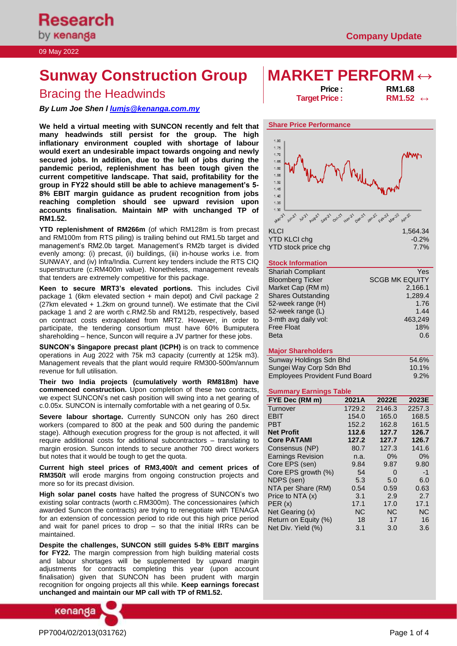# **Sunway Construction Group MARKET PERFORM ↔**

# Bracing the Headwinds **Price in the Section of the Headwinds** of the *RM1.68* → **RM1.68**

# *By Lum Joe Shen l [lumjs@kenanga.com.my](mailto:lumjs@kenanga.com.my)*

**We held a virtual meeting with SUNCON recently and felt that many headwinds still persist for the group. The high inflationary environment coupled with shortage of labour would exert an undesirable impact towards ongoing and newly secured jobs. In addition, due to the lull of jobs during the pandemic period, replenishment has been tough given the current competitive landscape. That said, profitability for the group in FY22 should still be able to achieve management's 5- 8% EBIT margin guidance as prudent recognition from jobs reaching completion should see upward revision upon accounts finalisation. Maintain MP with unchanged TP of RM1.52.**

**YTD replenishment of RM266m** (of which RM128m is from precast and RM100m from RTS piling) is trailing behind out RM1.5b target and management's RM2.0b target. Management's RM2b target is divided evenly among: (i) precast, (ii) buildings, (iii) in-house works i.e. from SUNWAY, and (iv) Infra/India. Current key tenders include the RTS CIQ superstructure (c.RM400m value). Nonetheless, management reveals that tenders are extremely competitive for this package.

**Keen to secure MRT3's elevated portions.** This includes Civil package 1 (6km elevated section + main depot) and Civil package 2 (27km elevated + 1.2km on ground tunnel). We estimate that the Civil package 1 and 2 are worth c.RM2.5b and RM12b, respectively, based on contract costs extrapolated from MRT2. However, in order to participate, the tendering consortium must have 60% Bumiputera shareholding – hence, Suncon will require a JV partner for these jobs.

**SUNCON's Singapore precast plant (ICPH)** is on track to commence operations in Aug 2022 with 75k m3 capacity (currently at 125k m3). Management reveals that the plant would require RM300-500m/annum revenue for full utilisation.

**Their two India projects (cumulatively worth RM818m) have commenced construction.** Upon completion of these two contracts, we expect SUNCON's net cash position will swing into a net gearing of c.0.05x. SUNCON is internally comfortable with a net gearing of 0.5x.

**Severe labour shortage.** Currently SUNCON only has 260 direct workers (compared to 800 at the peak and 500 during the pandemic stage). Although execution progress for the group is not affected, it will require additional costs for additional subcontractors – translating to margin erosion. Suncon intends to secure another 700 direct workers but notes that it would be tough to get the quota.

**Current high steel prices of RM3,400/t and cement prices of RM350/t** will erode margins from ongoing construction projects and more so for its precast division.

**High solar panel costs** have halted the progress of SUNCON's two existing solar contracts (worth c.RM300m). The concessionaires (which awarded Suncon the contracts) are trying to renegotiate with TENAGA for an extension of concession period to ride out this high price period and wait for panel prices to drop  $-$  so that the initial IRRs can be maintained.

**Despite the challenges, SUNCON still guides 5-8% EBIT margins for FY22.** The margin compression from high building material costs and labour shortages will be supplemented by upward margin adjustments for contracts completing this year (upon account finalisation) given that SUNCON has been prudent with margin recognition for ongoing projects all this while. **Keep earnings forecast unchanged and maintain our MP call with TP of RM1.52.** 



**Target Price :** 



# **Stock Information**

| Yes                   |
|-----------------------|
| <b>SCGB MK EQUITY</b> |
| 2,166.1               |
| 1,289.4               |
| 1.76                  |
| 1.44                  |
| 463,249               |
| 18%                   |
| 0.6                   |
|                       |

# **Major Shareholders**

| Sunway Holdings Sdn Bhd               | 54.6%    |
|---------------------------------------|----------|
| Sungei Way Corp Sdn Bhd               | $10.1\%$ |
| <b>Employees Provident Fund Board</b> | $9.2\%$  |

# **Summary Earnings Table**

| FYE Dec (RM m)           | 2021A     | 2022E     | 2023E     |
|--------------------------|-----------|-----------|-----------|
| Turnover                 | 1729.2    | 2146.3    | 2257.3    |
| <b>EBIT</b>              | 154.0     | 165.0     | 168.5     |
| <b>PBT</b>               | 152.2     | 162.8     | 161.5     |
| <b>Net Profit</b>        | 112.6     | 127.7     | 126.7     |
| <b>Core PATAMI</b>       | 127.2     | 127.7     | 126.7     |
| Consensus (NP)           | 80.7      | 127.3     | 141.6     |
| <b>Earnings Revision</b> | n.a.      | 0%        | 0%        |
| Core EPS (sen)           | 9.84      | 9.87      | 9.80      |
| Core EPS growth (%)      | 54        | 0         | -1        |
| NDPS (sen)               | 5.3       | 5.0       | 6.0       |
| NTA per Share (RM)       | 0.54      | 0.59      | 0.63      |
| Price to NTA (x)         | 3.1       | 2.9       | 2.7       |
| PER(x)                   | 17.1      | 17.0      | 17.1      |
| Net Gearing (x)          | <b>NC</b> | <b>NC</b> | <b>NC</b> |
| Return on Equity (%)     | 18        | 17        | 16        |
| Net Div. Yield (%)       | 3.1       | 3.0       | 3.6       |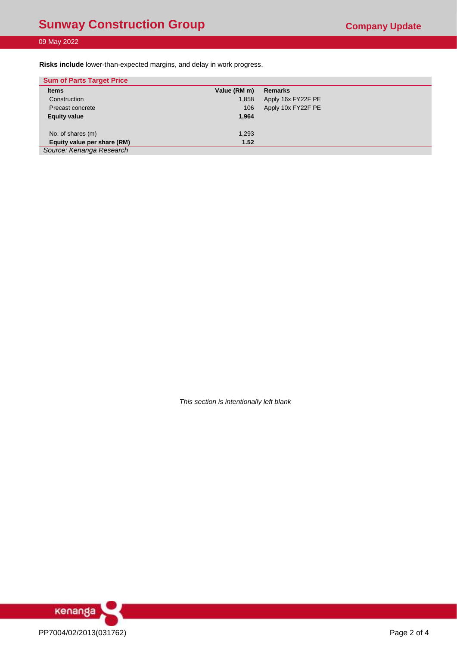# 09 May 2022

**Risks include** lower-than-expected margins, and delay in work progress.

| <b>Sum of Parts Target Price</b> |              |                    |
|----------------------------------|--------------|--------------------|
| <b>Items</b>                     | Value (RM m) | <b>Remarks</b>     |
| Construction                     | 1,858        | Apply 16x FY22F PE |
| Precast concrete                 | 106          | Apply 10x FY22F PE |
| <b>Equity value</b>              | 1,964        |                    |
|                                  |              |                    |
| No. of shares (m)                | 1,293        |                    |
| Equity value per share (RM)      | 1.52         |                    |
| Source: Kenanga Research         |              |                    |

*This section is intentionally left blank*

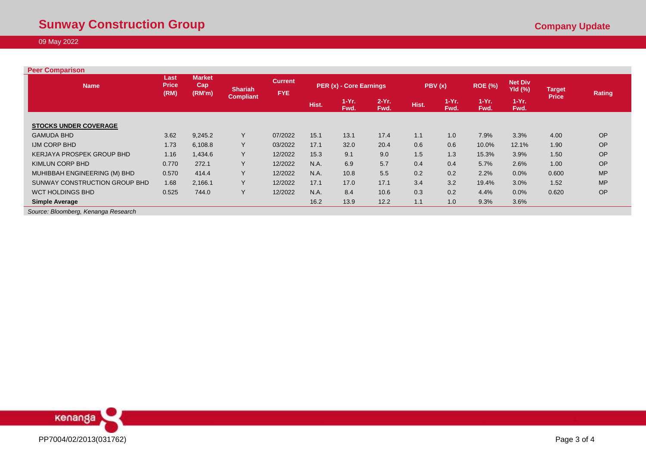# 09 May 2022

| <b>Peer Comparison</b>              |                              |                                |                  |                              |                         |                 |                 |       |                                               |                 |                 |              |           |
|-------------------------------------|------------------------------|--------------------------------|------------------|------------------------------|-------------------------|-----------------|-----------------|-------|-----------------------------------------------|-----------------|-----------------|--------------|-----------|
| <b>Name</b>                         | Last<br><b>Price</b><br>(RM) | <b>Market</b><br>Cap<br>(RM'm) | <b>Shariah</b>   | <b>Current</b><br><b>FYE</b> | PER (x) - Core Earnings |                 | PBV(x)          |       | <b>Net Div</b><br><b>ROE (%)</b><br>$Yld$ (%) |                 | <b>Target</b>   | Rating       |           |
|                                     |                              |                                | <b>Compliant</b> |                              | Hist.                   | $1-Yr.$<br>Fwd. | $2-Yr.$<br>Fwd. | Hist. | $1-Yr$ .<br>Fwd.                              | $1-Yr.$<br>Fwd. | $1-Yr.$<br>Fwd. | <b>Price</b> |           |
| <b>STOCKS UNDER COVERAGE</b>        |                              |                                |                  |                              |                         |                 |                 |       |                                               |                 |                 |              |           |
| <b>GAMUDA BHD</b>                   | 3.62                         | 9,245.2                        | Y                | 07/2022                      | 15.1                    | 13.1            | 17.4            | 1.1   | 1.0                                           | 7.9%            | 3.3%            | 4.00         | OP        |
| <b>IJM CORP BHD</b>                 | 1.73                         | 6,108.8                        | Y                | 03/2022                      | 17.1                    | 32.0            | 20.4            | 0.6   | 0.6                                           | 10.0%           | 12.1%           | 1.90         | OP        |
| <b>KERJAYA PROSPEK GROUP BHD</b>    | 1.16                         | 1,434.6                        | Y                | 12/2022                      | 15.3                    | 9.1             | 9.0             | 1.5   | 1.3                                           | 15.3%           | 3.9%            | 1.50         | OP        |
| <b>KIMLUN CORP BHD</b>              | 0.770                        | 272.1                          | Y                | 12/2022                      | N.A.                    | 6.9             | 5.7             | 0.4   | 0.4                                           | 5.7%            | 2.6%            | 1.00         | OP        |
| MUHIBBAH ENGINEERING (M) BHD        | 0.570                        | 414.4                          | Υ                | 12/2022                      | N.A.                    | 10.8            | 5.5             | 0.2   | 0.2                                           | 2.2%            | 0.0%            | 0.600        | <b>MP</b> |
| SUNWAY CONSTRUCTION GROUP BHD       | 1.68                         | 2,166.1                        | Y                | 12/2022                      | 17.1                    | 17.0            | 17.1            | 3.4   | 3.2                                           | 19.4%           | 3.0%            | 1.52         | <b>MP</b> |
| <b>WCT HOLDINGS BHD</b>             | 0.525                        | 744.0                          | Y                | 12/2022                      | N.A.                    | 8.4             | 10.6            | 0.3   | 0.2                                           | 4.4%            | 0.0%            | 0.620        | OP        |
| <b>Simple Average</b>               |                              |                                |                  |                              | 16.2                    | 13.9            | 12.2            | 1.1   | 1.0                                           | 9.3%            | 3.6%            |              |           |
| Source: Bloomberg, Kenanga Research |                              |                                |                  |                              |                         |                 |                 |       |                                               |                 |                 |              |           |